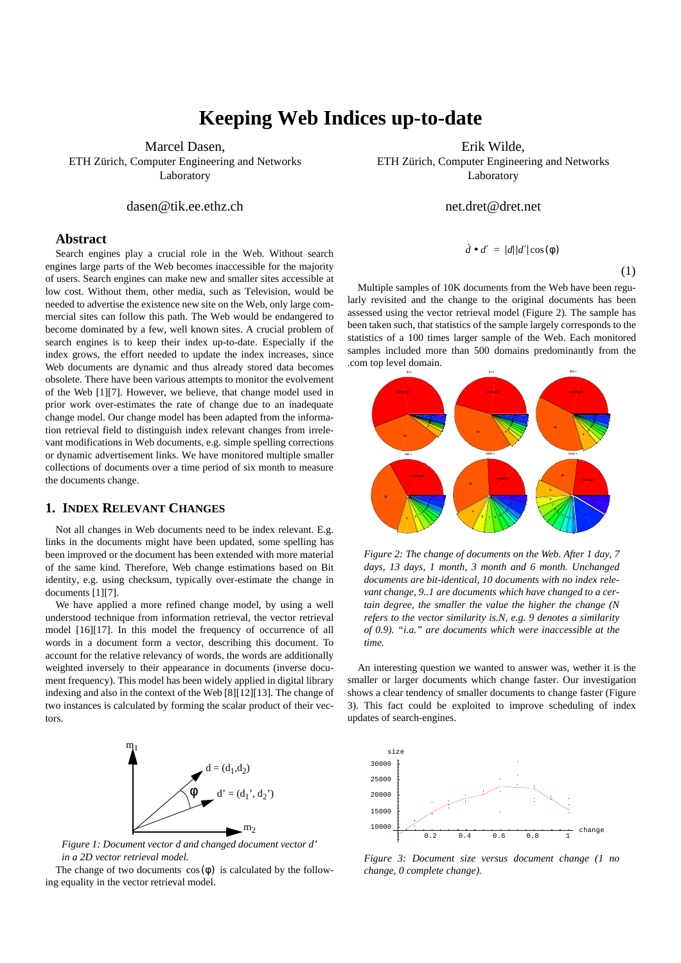# **Keeping Web Indices up-to-date**

Marcel Dasen, ETH Zürich, Computer Engineering and Networks

Laboratory

# dasen@tik.ee.ethz.ch

#### **Abstract**

Search engines play a crucial role in the Web. Without search engines large parts of the Web becomes inaccessible for the majority of users. Search engines can make new and smaller sites accessible at low cost. Without them, other media, such as Television, would be needed to advertise the existence new site on the Web, only large commercial sites can follow this path. The Web would be endangered to become dominated by a few, well known sites. A crucial problem of search engines is to keep their index up-to-date. Especially if the index grows, the effort needed to update the index increases, since Web documents are dynamic and thus already stored data becomes obsolete. There have been various attempts to monitor the evolvement of the Web [1][7]. However, we believe, that change model used in prior work over-estimates the rate of change due to an inadequate change model. Our change model has been adapted from the information retrieval field to distinguish index relevant changes from irrelevant modifications in Web documents, e.g. simple spelling corrections or dynamic advertisement links. We have monitored multiple smaller collections of documents over a time period of six month to measure the documents change.

# **1. INDEX RELEVANT CHANGES**

Not all changes in Web documents need to be index relevant. E.g. links in the documents might have been updated, some spelling has been improved or the document has been extended with more material of the same kind. Therefore, Web change estimations based on Bit identity, e.g. using checksum, typically over-estimate the change in documents [1][7].

We have applied a more refined change model, by using a well understood technique from information retrieval, the vector retrieval model [16][17]. In this model the frequency of occurrence of all words in a document form a vector, describing this document. To account for the relative relevancy of words, the words are additionally weighted inversely to their appearance in documents (inverse document frequency). This model has been widely applied in digital library indexing and also in the context of the Web [8][12][13]. The change of two instances is calculated by forming the scalar product of their vectors.



*Figure 1: Document vector d and changed document vector d' in a 2D vector retrieval model.*

The change of two documents  $cos(\phi)$  is calculated by the following equality in the vector retrieval model.

Erik Wilde,

ETH Zürich, Computer Engineering and Networks Laboratory

net.dret@dret.net

$$
\dot{d} \bullet d' = |d||d'|\cos(\phi)
$$

(1)

Multiple samples of 10K documents from the Web have been regularly revisited and the change to the original documents has been assessed using the vector retrieval model (Figure 2). The sample has been taken such, that statistics of the sample largely corresponds to the statistics of a 100 times larger sample of the Web. Each monitored samples included more than 500 domains predominantly from the .com top level domain.



*Figure 2: The change of documents on the Web. After 1 day, 7 days, 13 days, 1 month, 3 month and 6 month. Unchanged documents are bit-identical, 10 documents with no index relevant change, 9..1 are documents which have changed to a certain degree, the smaller the value the higher the change (N refers to the vector similarity is.N, e.g. 9 denotes a similarity of 0.9). "i.a." are documents which were inaccessible at the time.* 

An interesting question we wanted to answer was, wether it is the smaller or larger documents which change faster. Our investigation shows a clear tendency of smaller documents to change faster (Figure 3). This fact could be exploited to improve scheduling of index updates of search-engines.



*Figure 3: Document size versus document change (1 no change, 0 complete change).*